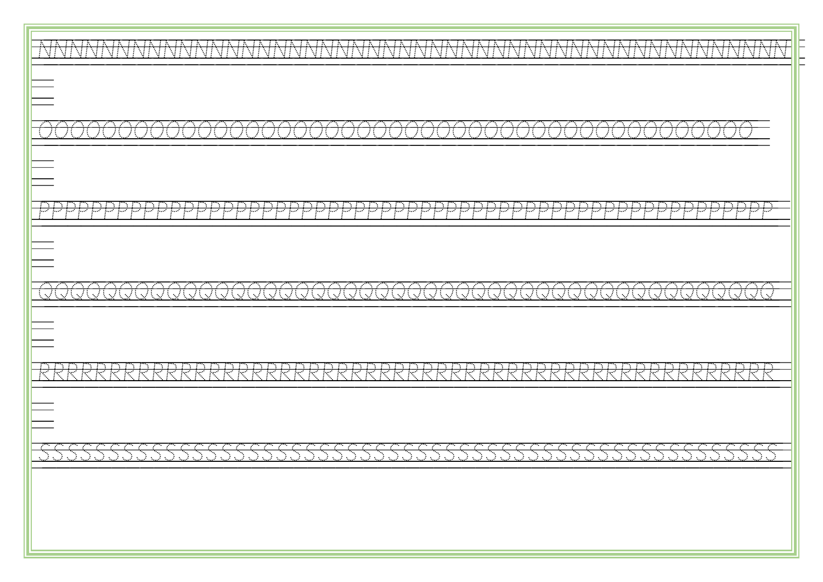| VIVIVIVIV<br>TVINININININININININ<br>VINININININININININININININININI<br>MIAININ<br>N.<br>$\mathcal{L}(\mathcal{A})$<br>- 1<br>$\mathcal{L}(\mathcal{A})$                                                                                                                                                                                                                           |
|-------------------------------------------------------------------------------------------------------------------------------------------------------------------------------------------------------------------------------------------------------------------------------------------------------------------------------------------------------------------------------------|
|                                                                                                                                                                                                                                                                                                                                                                                     |
| <b>Contract Contract Contract Contract</b><br><b>Contract Contract Contract</b><br><b>Contract Contract Contract Contract</b><br>and the contract of the contract of<br>79 P<br><b>Contract Contract Contract</b>                                                                                                                                                                   |
|                                                                                                                                                                                                                                                                                                                                                                                     |
| <u>n man man man m</u><br>n a shekara<br>n ma<br>n ma<br>n anns an<br>التباري                                                                                                                                                                                                                                                                                                       |
|                                                                                                                                                                                                                                                                                                                                                                                     |
| n an an an an an an an an an an an an a<br>and the company of the company of<br>the control of the control of the<br><b>Contract Contract Contract</b><br>n yan<br>79 M<br>na an<br><b>Contract Contract Contract Contract</b><br>79. O<br>п. е.<br>n yan<br>けいたけいたいたい<br>- 73<br>an an S<br>- 73<br>こんしょうしょうしょうしょうし<br>$\sim$ $\sim$ $\sim$<br>्रह<br>双眼状状<br>- 73<br>. 71<br>- 73 |
|                                                                                                                                                                                                                                                                                                                                                                                     |
| 95<br>ार<br>- 75<br>- 130                                                                                                                                                                                                                                                                                                                                                           |
|                                                                                                                                                                                                                                                                                                                                                                                     |
|                                                                                                                                                                                                                                                                                                                                                                                     |
|                                                                                                                                                                                                                                                                                                                                                                                     |
|                                                                                                                                                                                                                                                                                                                                                                                     |
|                                                                                                                                                                                                                                                                                                                                                                                     |